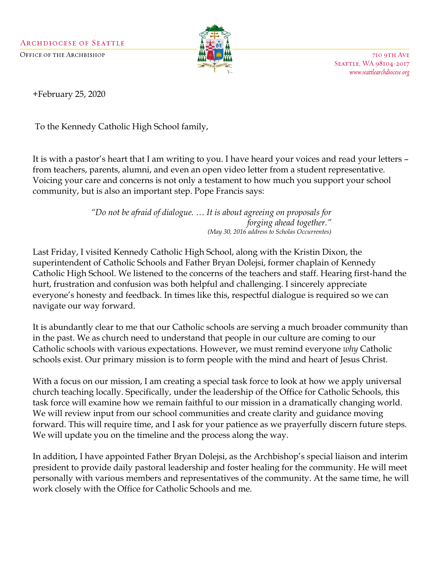

710 9TH AVE SEATTLE, WA 98104-2017 www.seattlearchdiocese.org

+February 25, 2020

To the Kennedy Catholic High School family,

It is with a pastor's heart that I am writing to you. I have heard your voices and read your letters – from teachers, parents, alumni, and even an open video letter from a student representative. Voicing your care and concerns is not only a testament to how much you support your school community, but is also an important step. Pope Francis says:

> *"Do not be afraid of dialogue. … It is about agreeing on proposals for forging ahead together." (May 30, 2016 address to Scholas Occurrentes)*

Last Friday, I visited Kennedy Catholic High School, along with the Kristin Dixon, the superintendent of Catholic Schools and Father Bryan Dolejsi, former chaplain of Kennedy Catholic High School. We listened to the concerns of the teachers and staff. Hearing first-hand the hurt, frustration and confusion was both helpful and challenging. I sincerely appreciate everyone's honesty and feedback. In times like this, respectful dialogue is required so we can navigate our way forward.

It is abundantly clear to me that our Catholic schools are serving a much broader community than in the past. We as church need to understand that people in our culture are coming to our Catholic schools with various expectations. However, we must remind everyone *why* Catholic schools exist. Our primary mission is to form people with the mind and heart of Jesus Christ.

With a focus on our mission, I am creating a special task force to look at how we apply universal church teaching locally. Specifically, under the leadership of the Office for Catholic Schools, this task force will examine how we remain faithful to our mission in a dramatically changing world. We will review input from our school communities and create clarity and guidance moving forward. This will require time, and I ask for your patience as we prayerfully discern future steps. We will update you on the timeline and the process along the way.

In addition, I have appointed Father Bryan Dolejsi, as the Archbishop's special liaison and interim president to provide daily pastoral leadership and foster healing for the community. He will meet personally with various members and representatives of the community. At the same time, he will work closely with the Office for Catholic Schools and me.